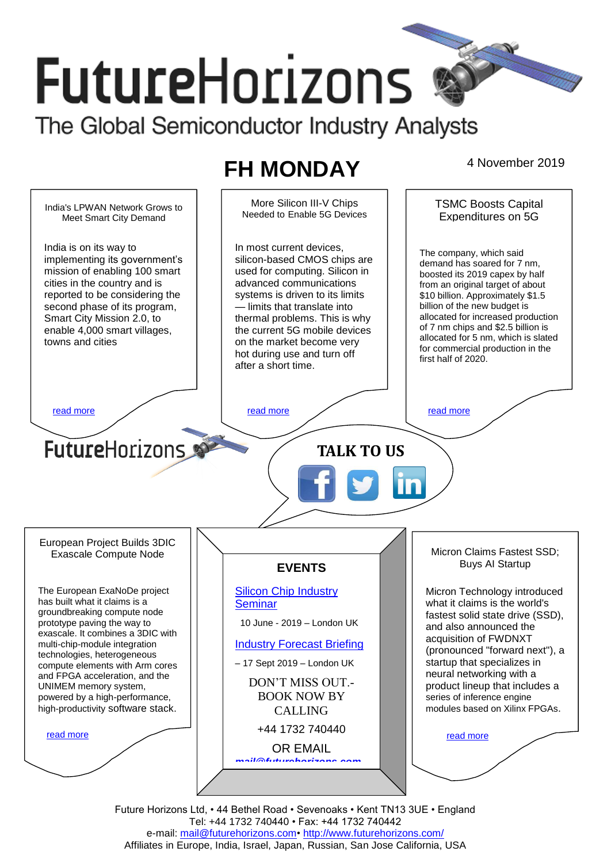# **FutureHorizons** The Global Semiconductor Industry Analysts

## **FH MONDAY** 4 November 2019



Future Horizons Ltd, • 44 Bethel Road • Sevenoaks • Kent TN13 3UE • England Tel: +44 1732 740440 • Fax: +44 1732 740442 e-mail: mail@futurehorizons.com• http://www.futurehorizons.com/ Affiliates in Europe, India, Israel, Japan, Russian, San Jose California, USA